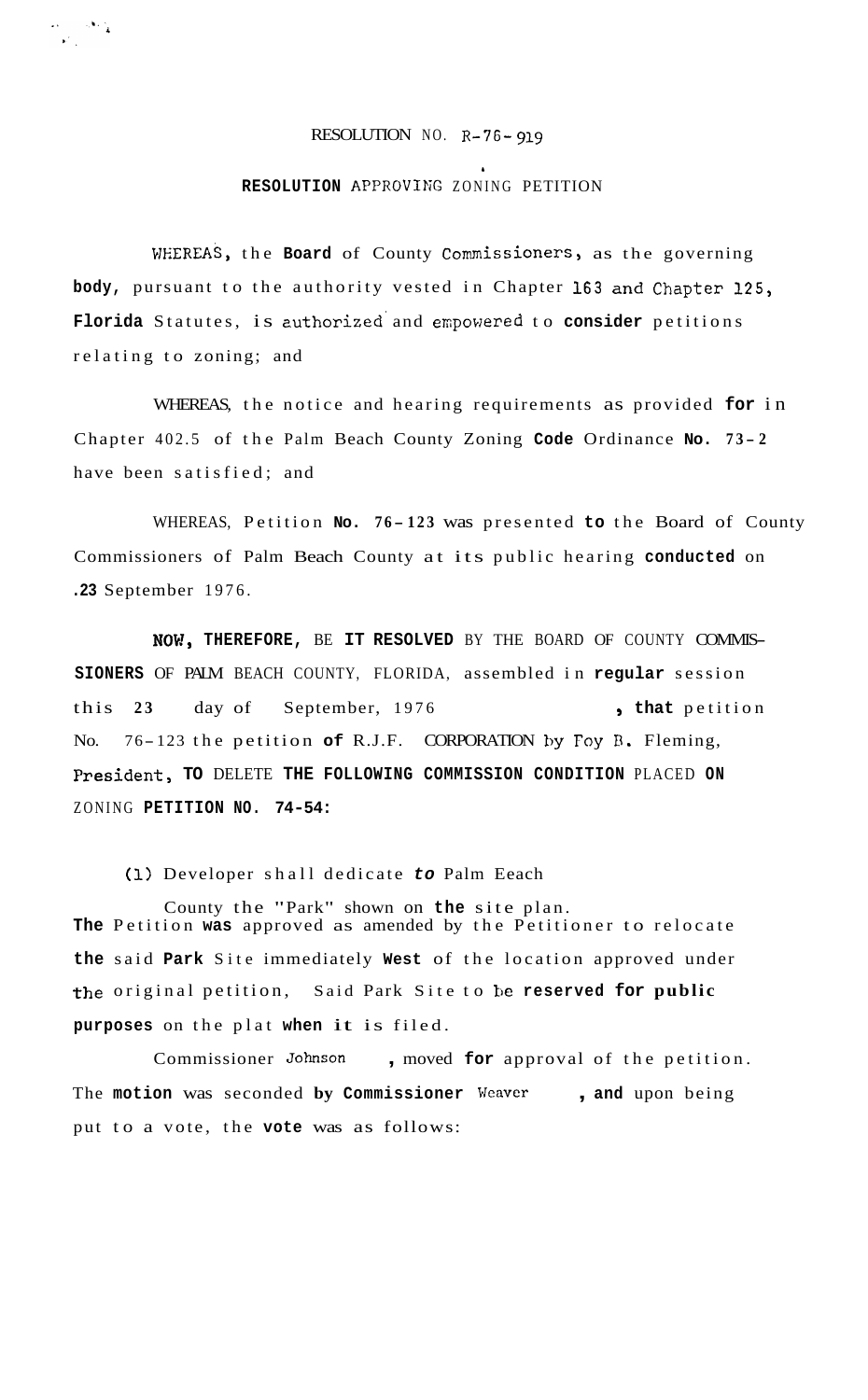## RESOLUTION NO. R-76- *919*

 $\label{eq:2} \begin{split} \mathcal{L}_{\text{max}} &= \frac{1}{2} \sum_{i=1}^{N} \frac{1}{2} \mathcal{L}_{i} \mathcal{L}_{i} \\ \mathcal{L}_{i} &= \frac{1}{2} \sum_{i=1}^{N} \frac{1}{2} \mathcal{L}_{i} \mathcal{L}_{i} \mathcal{L}_{i} \end{split}$ 

*b* 

## **RESOLUTION APPROVING ZONING PETITION**

**WEREAS,** the **Board** of County Commissioners, as the governing **body,** pursuant to the authority vested in Chapter **163** and Chapter 125, **Florida** Statutes, is zuthorized' and errpowered to **consider** petitions relating to zoning; and

WHEREAS, the notice and hearing requirements as provided **for** in Chapter 402.5 of the Palm Beach County Zoning **Code** Ordinance **No. 7 3 - <sup>2</sup>** have been satisfied; and

WHEREAS, Petition No. 76-123 was presented to the Board of County Commissioners of Palm Beach County at its public hearing **conducted** on **.23** September 1976.

NO\?, **THEREFORE,** BE **IT RESOLVED** BY THE BOARD OF COUNTY COMMIS-**SIONERS** OF PALM BEACH COUNTY, FLORIDA, assembled in **regular** session this 23 day of September, 1976 , that petition No. 76-123 the petition of R.J.F. CORPORATION by Foy B. Fleming, President, **TO** DELETE **THE FOLLOWING COMMISSION CONDITION** PLACED **ON**  ZONING **PETITION NO. 74-54:** 

**(1)** Developer shall dedicate *to* Palm Eeach

County the "Park" shown on **the** site plan. **The** Petition **was** approved as amended by the Petitioner to relocate **the** said **Park** Site immediately **West** of the location approved under the original petition, Said Park Site to **be reserved for public purposes** on the plat **when** it is filed.

Commissioner *Johnson* , moved **for** approval of the petition. The **motion** was seconded **by Commissioner** Weaver , **and** upon being put to a vote, the **vote** was as follows: